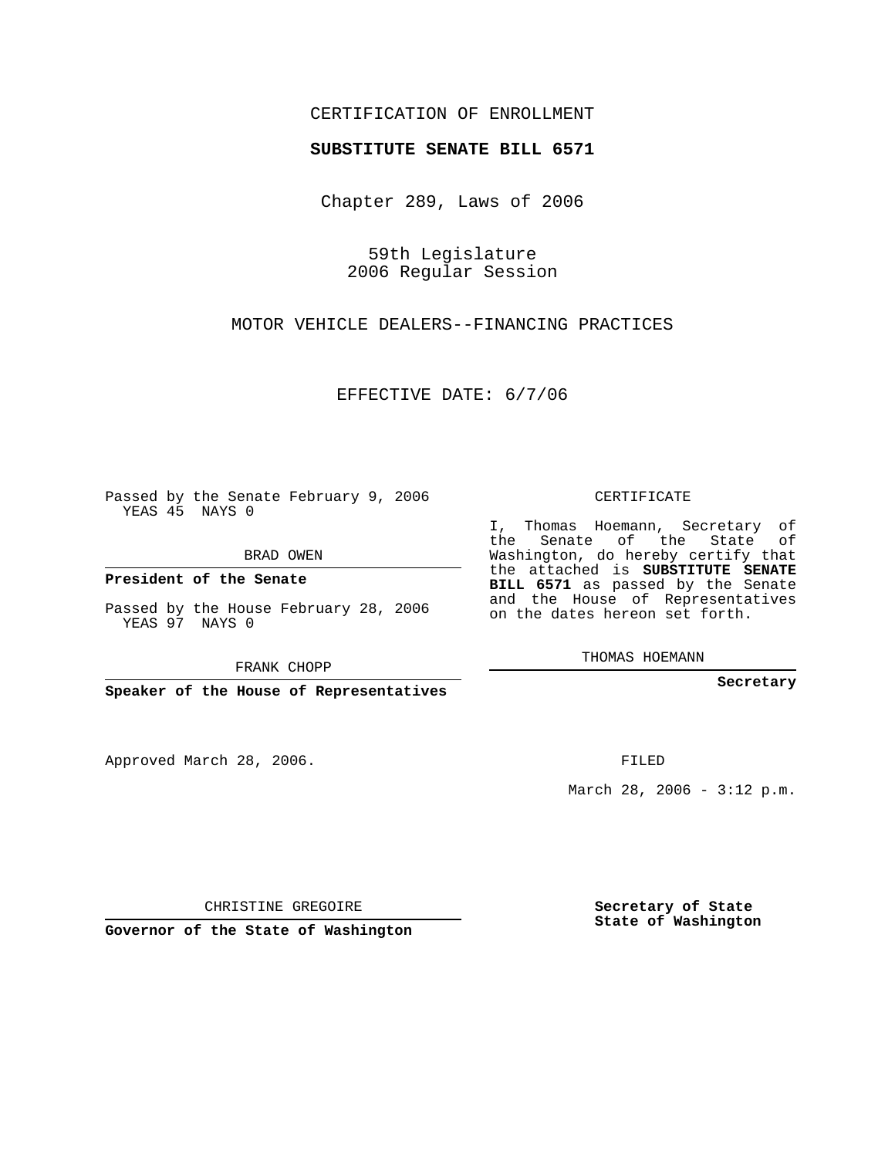## CERTIFICATION OF ENROLLMENT

## **SUBSTITUTE SENATE BILL 6571**

Chapter 289, Laws of 2006

59th Legislature 2006 Regular Session

MOTOR VEHICLE DEALERS--FINANCING PRACTICES

EFFECTIVE DATE: 6/7/06

Passed by the Senate February 9, 2006 YEAS 45 NAYS 0

BRAD OWEN

**President of the Senate**

Passed by the House February 28, 2006 YEAS 97 NAYS 0

FRANK CHOPP

**Speaker of the House of Representatives**

Approved March 28, 2006.

CERTIFICATE

I, Thomas Hoemann, Secretary of the Senate of the State of Washington, do hereby certify that the attached is **SUBSTITUTE SENATE BILL 6571** as passed by the Senate and the House of Representatives on the dates hereon set forth.

THOMAS HOEMANN

**Secretary**

FILED

March 28, 2006 -  $3:12$  p.m.

CHRISTINE GREGOIRE

**Governor of the State of Washington**

**Secretary of State State of Washington**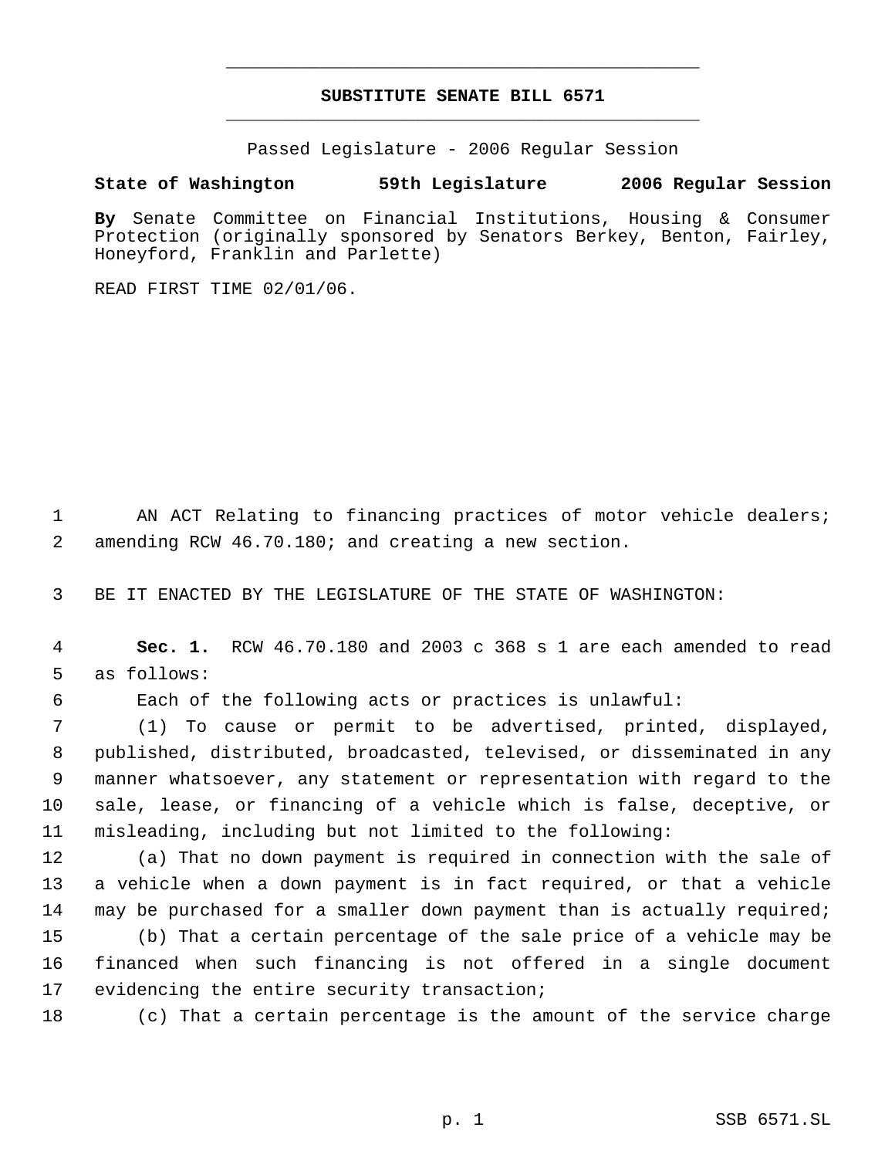## **SUBSTITUTE SENATE BILL 6571** \_\_\_\_\_\_\_\_\_\_\_\_\_\_\_\_\_\_\_\_\_\_\_\_\_\_\_\_\_\_\_\_\_\_\_\_\_\_\_\_\_\_\_\_\_

\_\_\_\_\_\_\_\_\_\_\_\_\_\_\_\_\_\_\_\_\_\_\_\_\_\_\_\_\_\_\_\_\_\_\_\_\_\_\_\_\_\_\_\_\_

Passed Legislature - 2006 Regular Session

## **State of Washington 59th Legislature 2006 Regular Session**

**By** Senate Committee on Financial Institutions, Housing & Consumer Protection (originally sponsored by Senators Berkey, Benton, Fairley, Honeyford, Franklin and Parlette)

READ FIRST TIME 02/01/06.

1 AN ACT Relating to financing practices of motor vehicle dealers; 2 amending RCW 46.70.180; and creating a new section.

3 BE IT ENACTED BY THE LEGISLATURE OF THE STATE OF WASHINGTON:

 4 **Sec. 1.** RCW 46.70.180 and 2003 c 368 s 1 are each amended to read 5 as follows:

6 Each of the following acts or practices is unlawful:

 (1) To cause or permit to be advertised, printed, displayed, published, distributed, broadcasted, televised, or disseminated in any manner whatsoever, any statement or representation with regard to the sale, lease, or financing of a vehicle which is false, deceptive, or misleading, including but not limited to the following:

 (a) That no down payment is required in connection with the sale of a vehicle when a down payment is in fact required, or that a vehicle may be purchased for a smaller down payment than is actually required; (b) That a certain percentage of the sale price of a vehicle may be financed when such financing is not offered in a single document 17 evidencing the entire security transaction;

18 (c) That a certain percentage is the amount of the service charge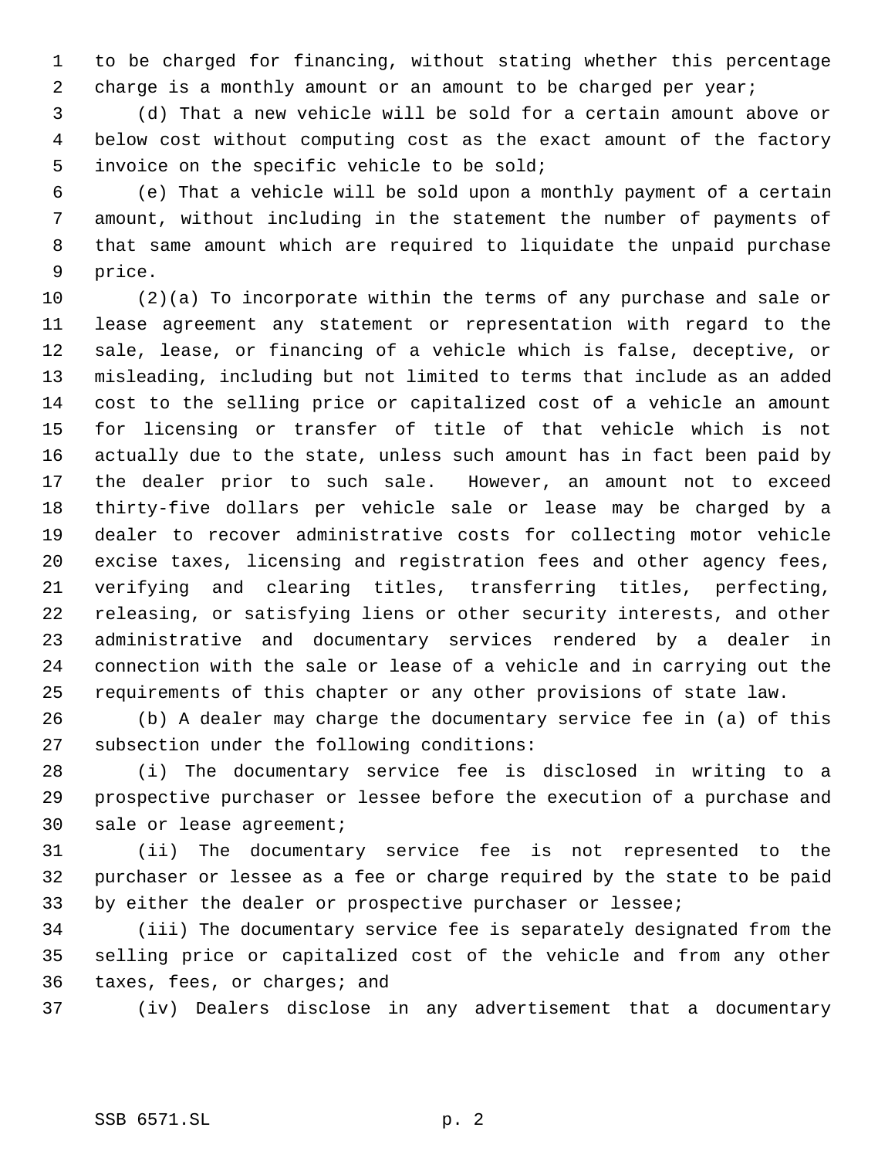to be charged for financing, without stating whether this percentage 2 charge is a monthly amount or an amount to be charged per year;

 (d) That a new vehicle will be sold for a certain amount above or below cost without computing cost as the exact amount of the factory invoice on the specific vehicle to be sold;

 (e) That a vehicle will be sold upon a monthly payment of a certain amount, without including in the statement the number of payments of that same amount which are required to liquidate the unpaid purchase price.

 (2)(a) To incorporate within the terms of any purchase and sale or lease agreement any statement or representation with regard to the sale, lease, or financing of a vehicle which is false, deceptive, or misleading, including but not limited to terms that include as an added cost to the selling price or capitalized cost of a vehicle an amount for licensing or transfer of title of that vehicle which is not actually due to the state, unless such amount has in fact been paid by the dealer prior to such sale. However, an amount not to exceed thirty-five dollars per vehicle sale or lease may be charged by a dealer to recover administrative costs for collecting motor vehicle excise taxes, licensing and registration fees and other agency fees, verifying and clearing titles, transferring titles, perfecting, releasing, or satisfying liens or other security interests, and other administrative and documentary services rendered by a dealer in connection with the sale or lease of a vehicle and in carrying out the requirements of this chapter or any other provisions of state law.

 (b) A dealer may charge the documentary service fee in (a) of this subsection under the following conditions:

 (i) The documentary service fee is disclosed in writing to a prospective purchaser or lessee before the execution of a purchase and sale or lease agreement;

 (ii) The documentary service fee is not represented to the purchaser or lessee as a fee or charge required by the state to be paid by either the dealer or prospective purchaser or lessee;

 (iii) The documentary service fee is separately designated from the selling price or capitalized cost of the vehicle and from any other taxes, fees, or charges; and

(iv) Dealers disclose in any advertisement that a documentary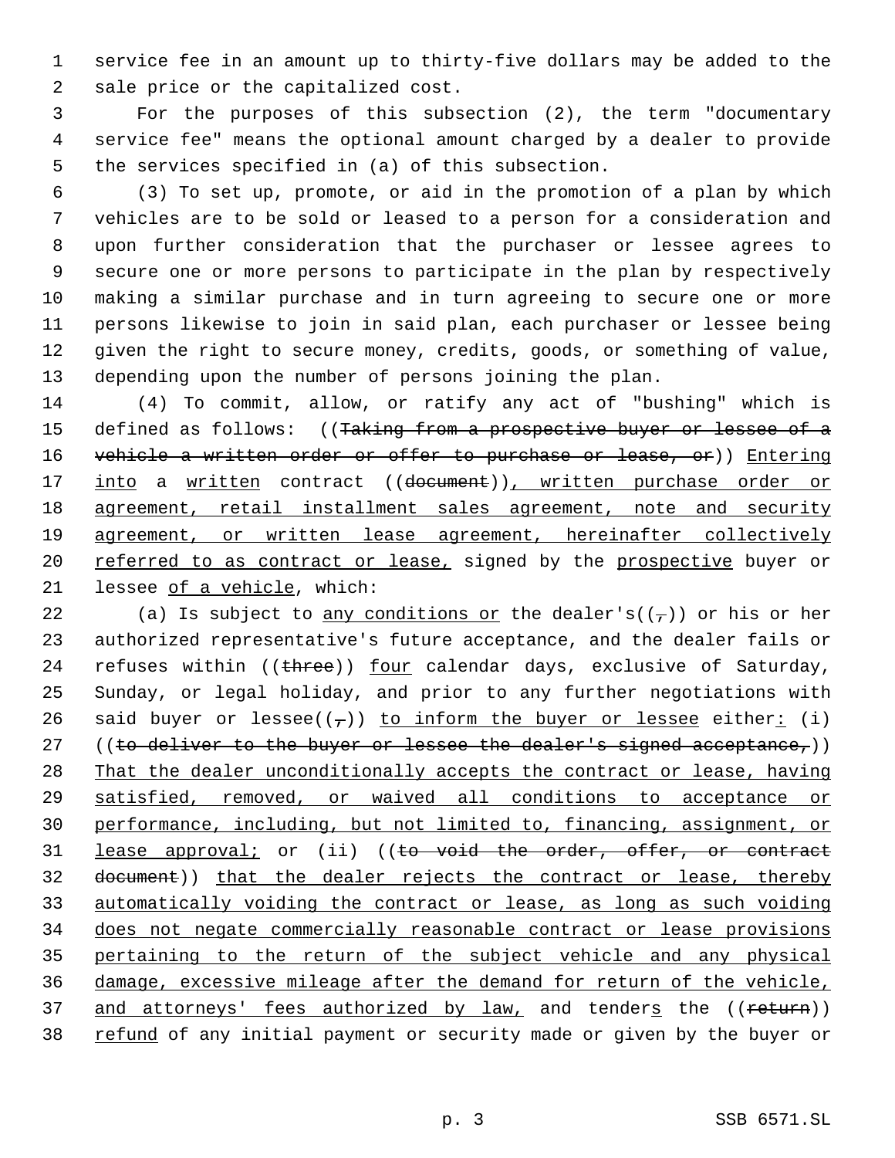service fee in an amount up to thirty-five dollars may be added to the sale price or the capitalized cost.

 For the purposes of this subsection (2), the term "documentary service fee" means the optional amount charged by a dealer to provide the services specified in (a) of this subsection.

 (3) To set up, promote, or aid in the promotion of a plan by which vehicles are to be sold or leased to a person for a consideration and upon further consideration that the purchaser or lessee agrees to secure one or more persons to participate in the plan by respectively making a similar purchase and in turn agreeing to secure one or more persons likewise to join in said plan, each purchaser or lessee being given the right to secure money, credits, goods, or something of value, depending upon the number of persons joining the plan.

 (4) To commit, allow, or ratify any act of "bushing" which is 15 defined as follows: ((Taking from a prospective buyer or lessee of a 16 vehicle a written order or offer to purchase or lease, or)) Entering 17 into a written contract ((document)), written purchase order or 18 agreement, retail installment sales agreement, note and security agreement, or written lease agreement, hereinafter collectively 20 referred to as contract or lease, signed by the prospective buyer or lessee of a vehicle, which:

22 (a) Is subject to any conditions or the dealer's( $(\tau)$ ) or his or her authorized representative's future acceptance, and the dealer fails or 24 refuses within  $((t + r)$  four calendar days, exclusive of Saturday, Sunday, or legal holiday, and prior to any further negotiations with 26 said buyer or lessee( $(\tau)$ ) to inform the buyer or lessee either: (i) 27 ((to deliver to the buyer or lessee the dealer's signed acceptance,)) That the dealer unconditionally accepts the contract or lease, having satisfied, removed, or waived all conditions to acceptance or performance, including, but not limited to, financing, assignment, or 31 <u>lease approval;</u> or (ii) ((<del>to void the order, offer, or contract</del> 32 document)) that the dealer rejects the contract or lease, thereby automatically voiding the contract or lease, as long as such voiding does not negate commercially reasonable contract or lease provisions pertaining to the return of the subject vehicle and any physical damage, excessive mileage after the demand for return of the vehicle, 37 and attorneys' fees authorized by law, and tenders the ((return)) 38 refund of any initial payment or security made or given by the buyer or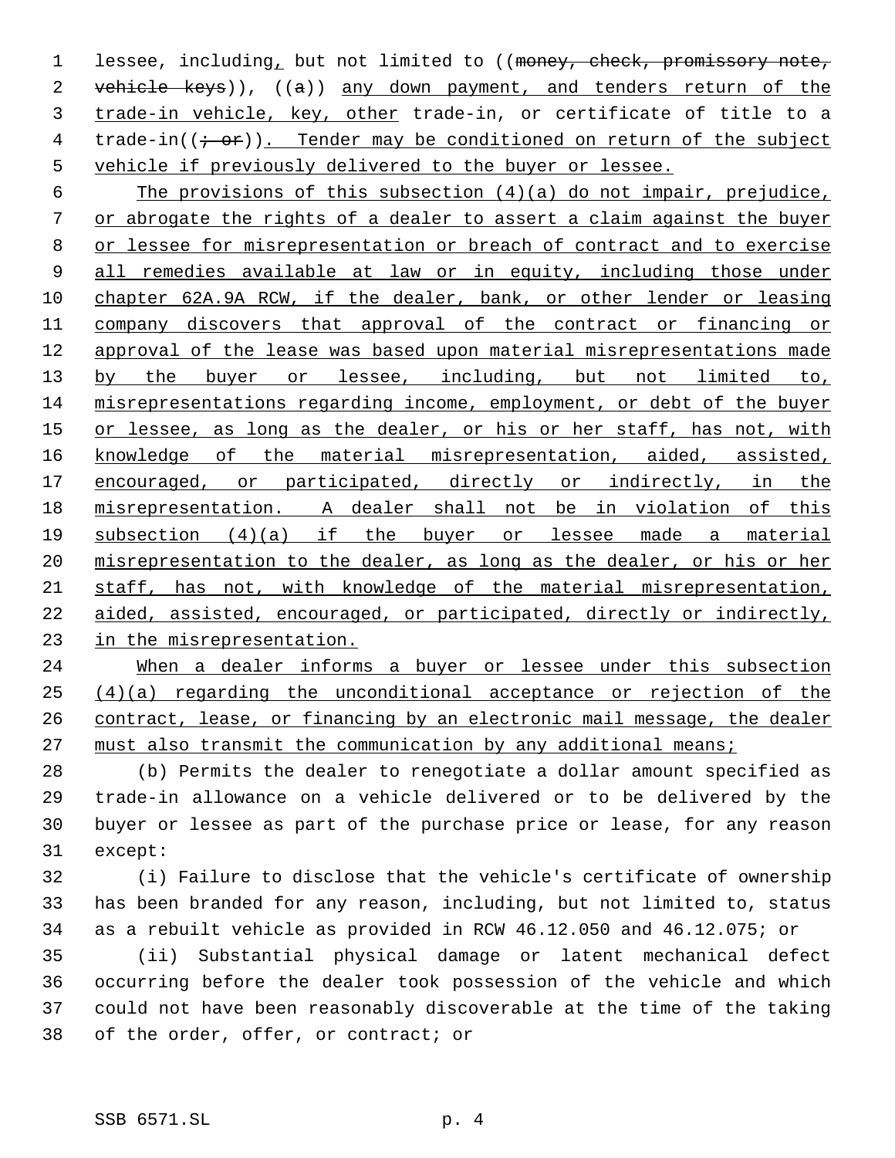1 lessee, including, but not limited to ((money, check, promissory note, 2 vehicle keys)), ((a)) any down payment, and tenders return of the trade-in vehicle, key, other trade-in, or certificate of title to a 4 trade-in( $(i-$ or)). Tender may be conditioned on return of the subject vehicle if previously delivered to the buyer or lessee.

6 The provisions of this subsection  $(4)(a)$  do not impair, prejudice, or abrogate the rights of a dealer to assert a claim against the buyer or lessee for misrepresentation or breach of contract and to exercise all remedies available at law or in equity, including those under chapter 62A.9A RCW, if the dealer, bank, or other lender or leasing company discovers that approval of the contract or financing or approval of the lease was based upon material misrepresentations made 13 by the buyer or lessee, including, but not limited to, misrepresentations regarding income, employment, or debt of the buyer 15 or lessee, as long as the dealer, or his or her staff, has not, with knowledge of the material misrepresentation, aided, assisted, 17 encouraged, or participated, directly or indirectly, in the misrepresentation. A dealer shall not be in violation of this subsection (4)(a) if the buyer or lessee made a material misrepresentation to the dealer, as long as the dealer, or his or her staff, has not, with knowledge of the material misrepresentation, aided, assisted, encouraged, or participated, directly or indirectly, in the misrepresentation.

 When a dealer informs a buyer or lessee under this subsection (4)(a) regarding the unconditional acceptance or rejection of the contract, lease, or financing by an electronic mail message, the dealer must also transmit the communication by any additional means;

 (b) Permits the dealer to renegotiate a dollar amount specified as trade-in allowance on a vehicle delivered or to be delivered by the buyer or lessee as part of the purchase price or lease, for any reason except:

 (i) Failure to disclose that the vehicle's certificate of ownership has been branded for any reason, including, but not limited to, status as a rebuilt vehicle as provided in RCW 46.12.050 and 46.12.075; or

 (ii) Substantial physical damage or latent mechanical defect occurring before the dealer took possession of the vehicle and which could not have been reasonably discoverable at the time of the taking of the order, offer, or contract; or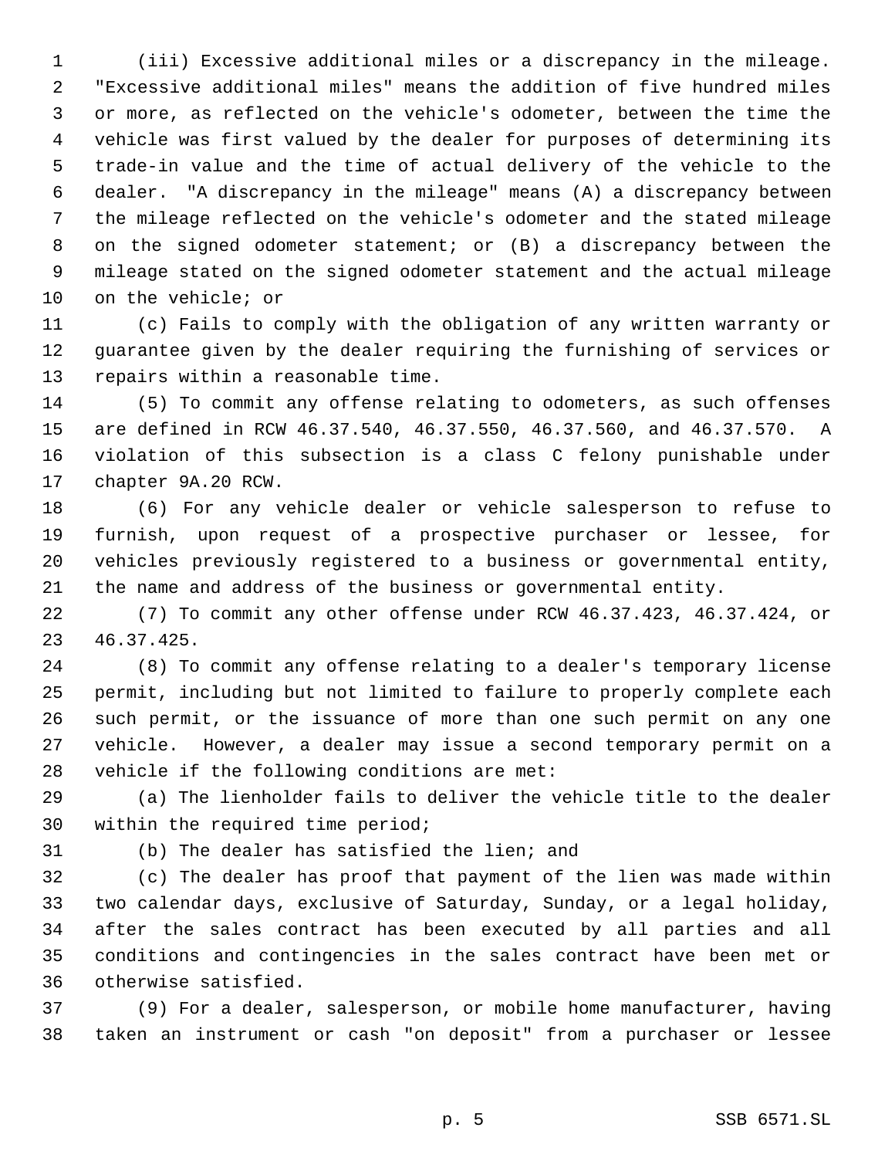(iii) Excessive additional miles or a discrepancy in the mileage. "Excessive additional miles" means the addition of five hundred miles or more, as reflected on the vehicle's odometer, between the time the vehicle was first valued by the dealer for purposes of determining its trade-in value and the time of actual delivery of the vehicle to the dealer. "A discrepancy in the mileage" means (A) a discrepancy between the mileage reflected on the vehicle's odometer and the stated mileage on the signed odometer statement; or (B) a discrepancy between the mileage stated on the signed odometer statement and the actual mileage on the vehicle; or

 (c) Fails to comply with the obligation of any written warranty or guarantee given by the dealer requiring the furnishing of services or repairs within a reasonable time.

 (5) To commit any offense relating to odometers, as such offenses are defined in RCW 46.37.540, 46.37.550, 46.37.560, and 46.37.570. A violation of this subsection is a class C felony punishable under chapter 9A.20 RCW.

 (6) For any vehicle dealer or vehicle salesperson to refuse to furnish, upon request of a prospective purchaser or lessee, for vehicles previously registered to a business or governmental entity, the name and address of the business or governmental entity.

 (7) To commit any other offense under RCW 46.37.423, 46.37.424, or 46.37.425.

 (8) To commit any offense relating to a dealer's temporary license permit, including but not limited to failure to properly complete each such permit, or the issuance of more than one such permit on any one vehicle. However, a dealer may issue a second temporary permit on a vehicle if the following conditions are met:

 (a) The lienholder fails to deliver the vehicle title to the dealer within the required time period;

(b) The dealer has satisfied the lien; and

 (c) The dealer has proof that payment of the lien was made within two calendar days, exclusive of Saturday, Sunday, or a legal holiday, after the sales contract has been executed by all parties and all conditions and contingencies in the sales contract have been met or otherwise satisfied.

 (9) For a dealer, salesperson, or mobile home manufacturer, having taken an instrument or cash "on deposit" from a purchaser or lessee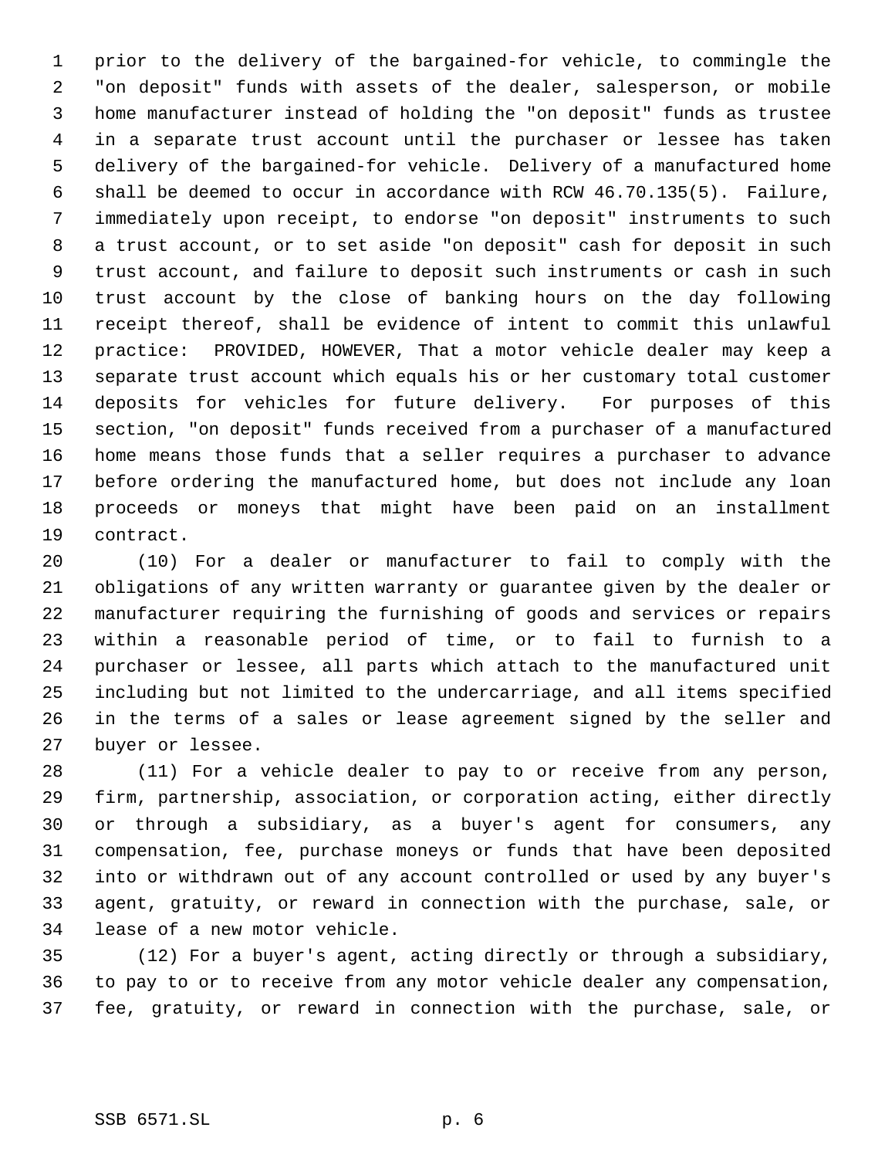prior to the delivery of the bargained-for vehicle, to commingle the "on deposit" funds with assets of the dealer, salesperson, or mobile home manufacturer instead of holding the "on deposit" funds as trustee in a separate trust account until the purchaser or lessee has taken delivery of the bargained-for vehicle. Delivery of a manufactured home shall be deemed to occur in accordance with RCW 46.70.135(5). Failure, immediately upon receipt, to endorse "on deposit" instruments to such a trust account, or to set aside "on deposit" cash for deposit in such trust account, and failure to deposit such instruments or cash in such trust account by the close of banking hours on the day following receipt thereof, shall be evidence of intent to commit this unlawful practice: PROVIDED, HOWEVER, That a motor vehicle dealer may keep a separate trust account which equals his or her customary total customer deposits for vehicles for future delivery. For purposes of this section, "on deposit" funds received from a purchaser of a manufactured home means those funds that a seller requires a purchaser to advance before ordering the manufactured home, but does not include any loan proceeds or moneys that might have been paid on an installment contract.

 (10) For a dealer or manufacturer to fail to comply with the obligations of any written warranty or guarantee given by the dealer or manufacturer requiring the furnishing of goods and services or repairs within a reasonable period of time, or to fail to furnish to a purchaser or lessee, all parts which attach to the manufactured unit including but not limited to the undercarriage, and all items specified in the terms of a sales or lease agreement signed by the seller and buyer or lessee.

 (11) For a vehicle dealer to pay to or receive from any person, firm, partnership, association, or corporation acting, either directly or through a subsidiary, as a buyer's agent for consumers, any compensation, fee, purchase moneys or funds that have been deposited into or withdrawn out of any account controlled or used by any buyer's agent, gratuity, or reward in connection with the purchase, sale, or lease of a new motor vehicle.

 (12) For a buyer's agent, acting directly or through a subsidiary, to pay to or to receive from any motor vehicle dealer any compensation, fee, gratuity, or reward in connection with the purchase, sale, or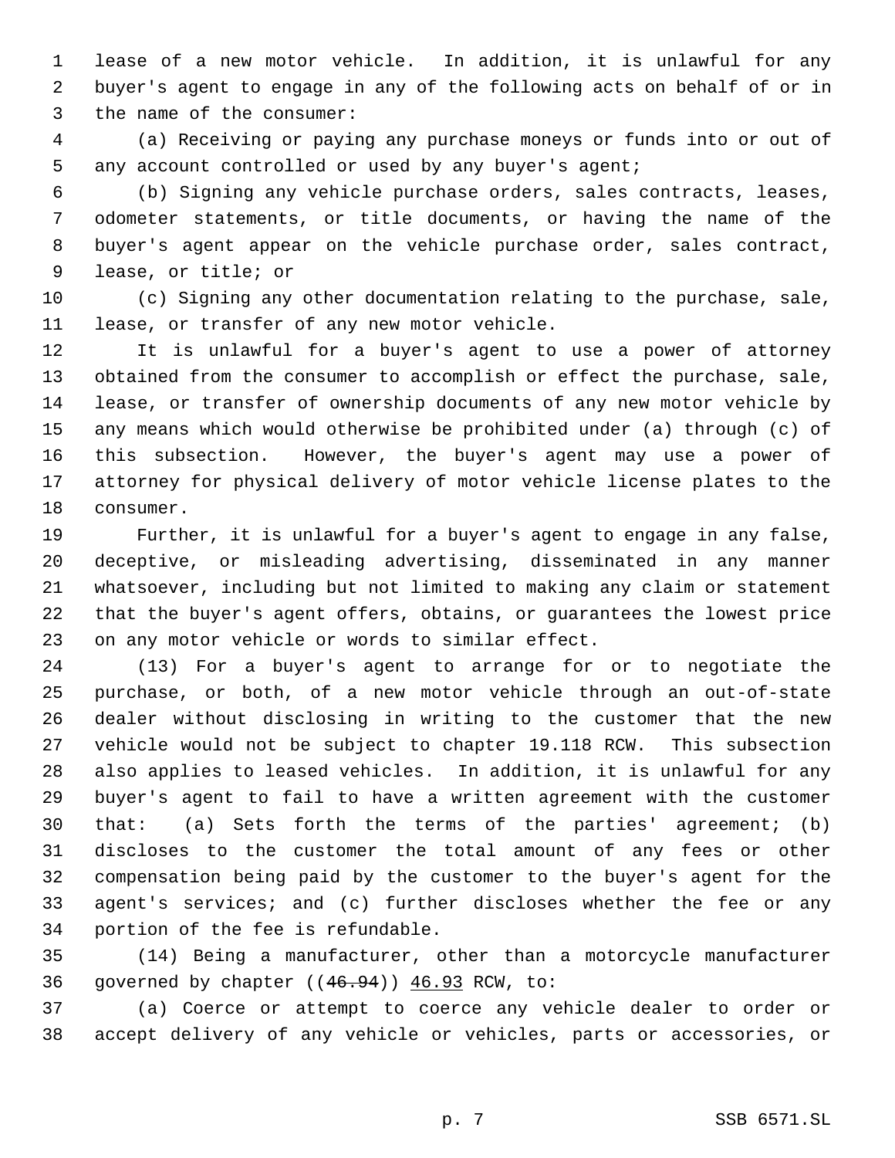lease of a new motor vehicle. In addition, it is unlawful for any buyer's agent to engage in any of the following acts on behalf of or in the name of the consumer:

 (a) Receiving or paying any purchase moneys or funds into or out of any account controlled or used by any buyer's agent;

 (b) Signing any vehicle purchase orders, sales contracts, leases, odometer statements, or title documents, or having the name of the buyer's agent appear on the vehicle purchase order, sales contract, lease, or title; or

 (c) Signing any other documentation relating to the purchase, sale, lease, or transfer of any new motor vehicle.

 It is unlawful for a buyer's agent to use a power of attorney obtained from the consumer to accomplish or effect the purchase, sale, lease, or transfer of ownership documents of any new motor vehicle by any means which would otherwise be prohibited under (a) through (c) of this subsection. However, the buyer's agent may use a power of attorney for physical delivery of motor vehicle license plates to the consumer.

 Further, it is unlawful for a buyer's agent to engage in any false, deceptive, or misleading advertising, disseminated in any manner whatsoever, including but not limited to making any claim or statement that the buyer's agent offers, obtains, or guarantees the lowest price on any motor vehicle or words to similar effect.

 (13) For a buyer's agent to arrange for or to negotiate the purchase, or both, of a new motor vehicle through an out-of-state dealer without disclosing in writing to the customer that the new vehicle would not be subject to chapter 19.118 RCW. This subsection also applies to leased vehicles. In addition, it is unlawful for any buyer's agent to fail to have a written agreement with the customer that: (a) Sets forth the terms of the parties' agreement; (b) discloses to the customer the total amount of any fees or other compensation being paid by the customer to the buyer's agent for the agent's services; and (c) further discloses whether the fee or any portion of the fee is refundable.

 (14) Being a manufacturer, other than a motorcycle manufacturer governed by chapter ((46.94)) 46.93 RCW, to:

 (a) Coerce or attempt to coerce any vehicle dealer to order or accept delivery of any vehicle or vehicles, parts or accessories, or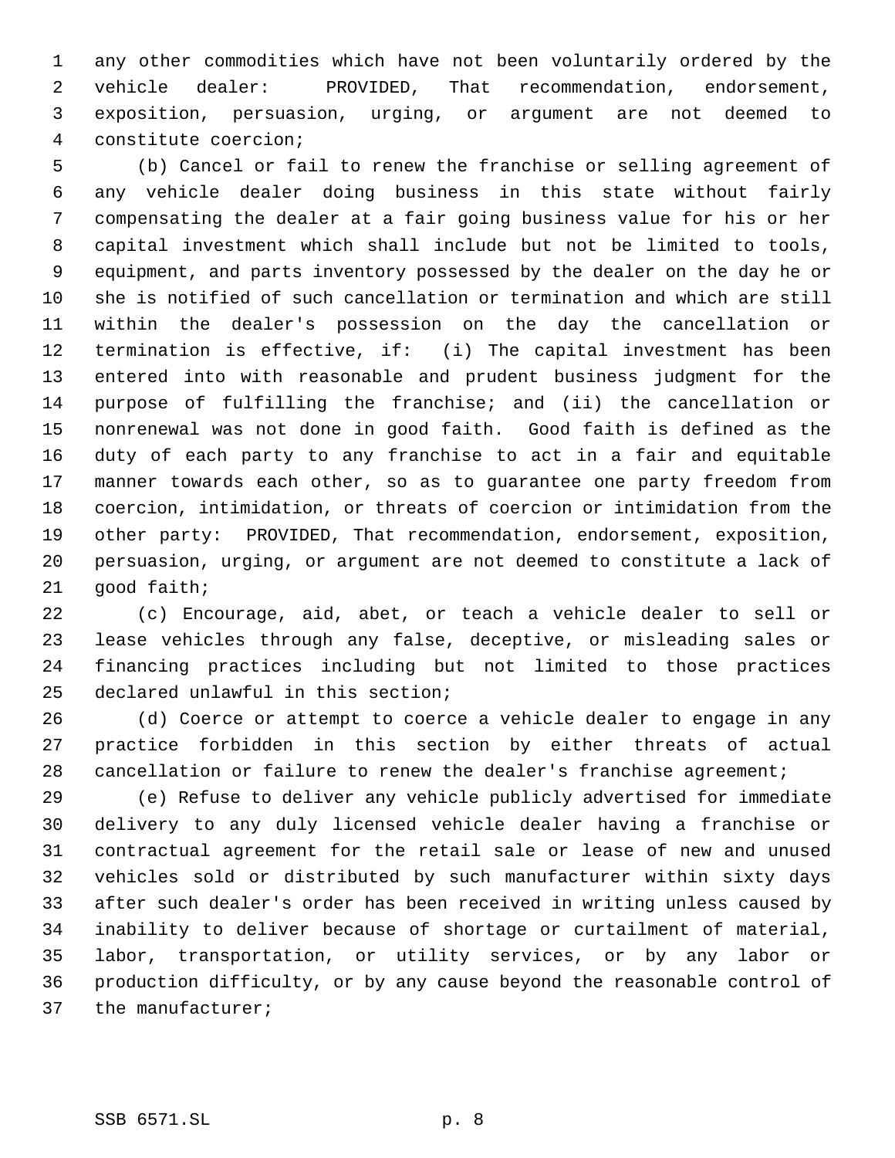any other commodities which have not been voluntarily ordered by the vehicle dealer: PROVIDED, That recommendation, endorsement, exposition, persuasion, urging, or argument are not deemed to constitute coercion;

 (b) Cancel or fail to renew the franchise or selling agreement of any vehicle dealer doing business in this state without fairly compensating the dealer at a fair going business value for his or her capital investment which shall include but not be limited to tools, equipment, and parts inventory possessed by the dealer on the day he or she is notified of such cancellation or termination and which are still within the dealer's possession on the day the cancellation or termination is effective, if: (i) The capital investment has been entered into with reasonable and prudent business judgment for the purpose of fulfilling the franchise; and (ii) the cancellation or nonrenewal was not done in good faith. Good faith is defined as the duty of each party to any franchise to act in a fair and equitable manner towards each other, so as to guarantee one party freedom from coercion, intimidation, or threats of coercion or intimidation from the other party: PROVIDED, That recommendation, endorsement, exposition, persuasion, urging, or argument are not deemed to constitute a lack of good faith;

 (c) Encourage, aid, abet, or teach a vehicle dealer to sell or lease vehicles through any false, deceptive, or misleading sales or financing practices including but not limited to those practices declared unlawful in this section;

 (d) Coerce or attempt to coerce a vehicle dealer to engage in any practice forbidden in this section by either threats of actual 28 cancellation or failure to renew the dealer's franchise agreement;

 (e) Refuse to deliver any vehicle publicly advertised for immediate delivery to any duly licensed vehicle dealer having a franchise or contractual agreement for the retail sale or lease of new and unused vehicles sold or distributed by such manufacturer within sixty days after such dealer's order has been received in writing unless caused by inability to deliver because of shortage or curtailment of material, labor, transportation, or utility services, or by any labor or production difficulty, or by any cause beyond the reasonable control of the manufacturer;